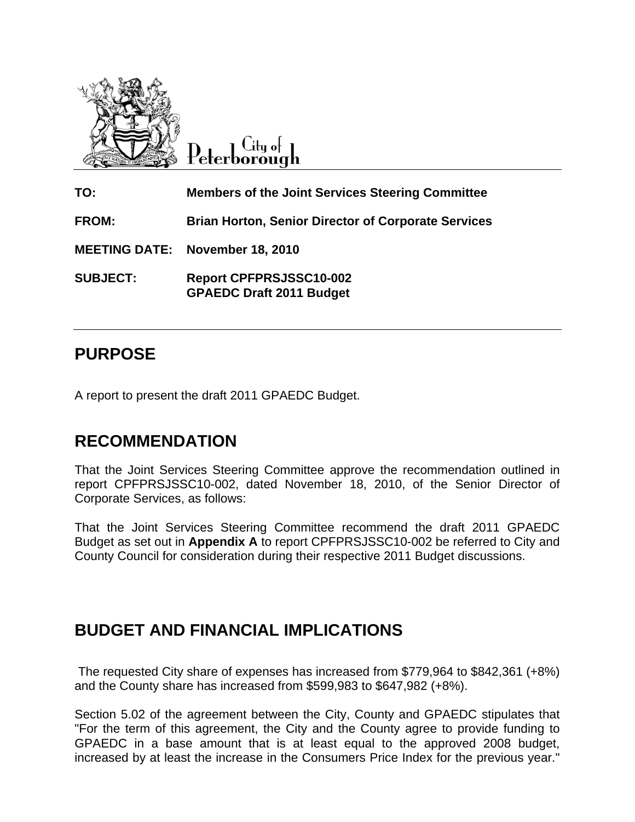

City of  $\operatorname{Peterborough}$ 

**TO: Members of the Joint Services Steering Committee FROM: Brian Horton, Senior Director of Corporate Services MEETING DATE: November 18, 2010 SUBJECT: Report CPFPRSJSSC10-002 GPAEDC Draft 2011 Budget** 

## **PURPOSE**

A report to present the draft 2011 GPAEDC Budget.

# **RECOMMENDATION**

That the Joint Services Steering Committee approve the recommendation outlined in report CPFPRSJSSC10-002, dated November 18, 2010, of the Senior Director of Corporate Services, as follows:

That the Joint Services Steering Committee recommend the draft 2011 GPAEDC Budget as set out in **Appendix A** to report CPFPRSJSSC10-002 be referred to City and County Council for consideration during their respective 2011 Budget discussions.

### **BUDGET AND FINANCIAL IMPLICATIONS**

 The requested City share of expenses has increased from \$779,964 to \$842,361 (+8%) and the County share has increased from \$599,983 to \$647,982 (+8%).

Section 5.02 of the agreement between the City, County and GPAEDC stipulates that "For the term of this agreement, the City and the County agree to provide funding to GPAEDC in a base amount that is at least equal to the approved 2008 budget, increased by at least the increase in the Consumers Price Index for the previous year."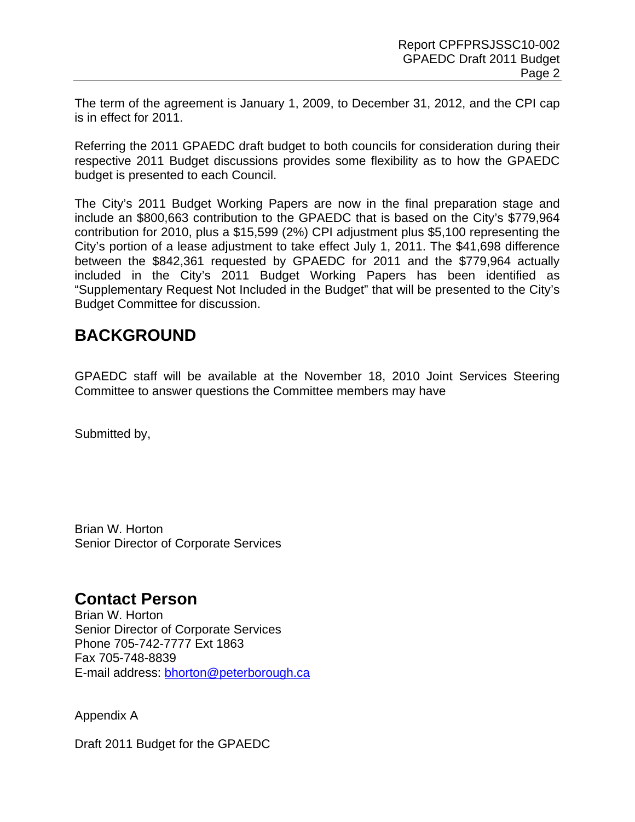The term of the agreement is January 1, 2009, to December 31, 2012, and the CPI cap is in effect for 2011.

Referring the 2011 GPAEDC draft budget to both councils for consideration during their respective 2011 Budget discussions provides some flexibility as to how the GPAEDC budget is presented to each Council.

The City's 2011 Budget Working Papers are now in the final preparation stage and include an \$800,663 contribution to the GPAEDC that is based on the City's \$779,964 contribution for 2010, plus a \$15,599 (2%) CPI adjustment plus \$5,100 representing the City's portion of a lease adjustment to take effect July 1, 2011. The \$41,698 difference between the \$842,361 requested by GPAEDC for 2011 and the \$779,964 actually included in the City's 2011 Budget Working Papers has been identified as "Supplementary Request Not Included in the Budget" that will be presented to the City's Budget Committee for discussion.

### **BACKGROUND**

GPAEDC staff will be available at the November 18, 2010 Joint Services Steering Committee to answer questions the Committee members may have

Submitted by,

Brian W. Horton Senior Director of Corporate Services

#### **Contact Person**

Brian W. Horton Senior Director of Corporate Services Phone 705-742-7777 Ext 1863 Fax 705-748-8839 E-mail address: **bhorton@peterborough.ca** 

Appendix A

Draft 2011 Budget for the GPAEDC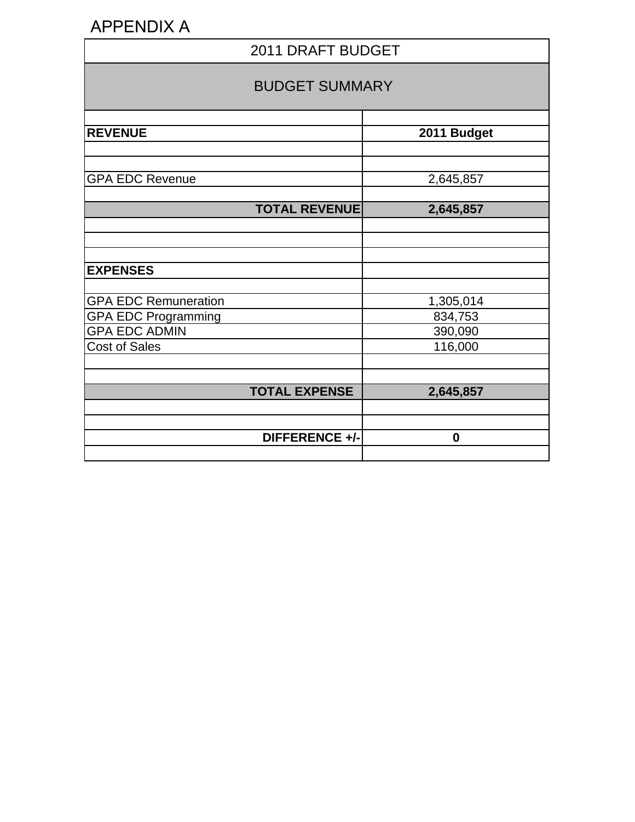# APPENDIX A

| 2011 DRAFT BUDGET                                         |                      |  |  |
|-----------------------------------------------------------|----------------------|--|--|
| <b>BUDGET SUMMARY</b>                                     |                      |  |  |
| <b>REVENUE</b>                                            | 2011 Budget          |  |  |
| <b>GPA EDC Revenue</b>                                    | 2,645,857            |  |  |
| <b>TOTAL REVENUE</b>                                      | 2,645,857            |  |  |
|                                                           |                      |  |  |
| <b>EXPENSES</b>                                           |                      |  |  |
| <b>GPA EDC Remuneration</b><br><b>GPA EDC Programming</b> | 1,305,014<br>834,753 |  |  |
| <b>GPA EDC ADMIN</b>                                      | 390,090              |  |  |
| <b>Cost of Sales</b>                                      | 116,000              |  |  |
| <b>TOTAL EXPENSE</b>                                      | 2,645,857            |  |  |
| DIFFERENCE +/-                                            | $\bf{0}$             |  |  |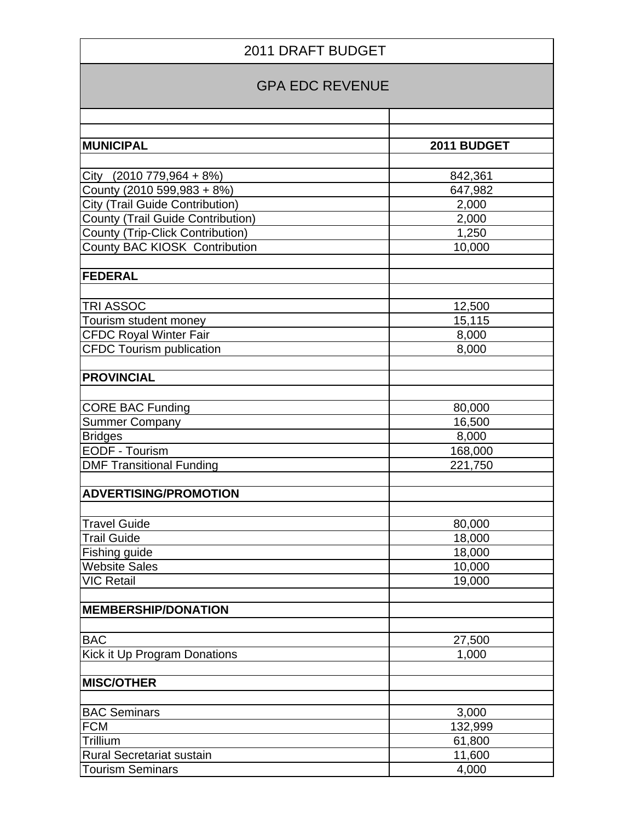| <b>2011 DRAFT BUDGET</b>                 |             |  |  |
|------------------------------------------|-------------|--|--|
| <b>GPA EDC REVENUE</b>                   |             |  |  |
|                                          |             |  |  |
| <b>MUNICIPAL</b>                         | 2011 BUDGET |  |  |
|                                          |             |  |  |
| City (2010 779,964 + 8%)                 | 842,361     |  |  |
| County (2010 599,983 + 8%)               | 647,982     |  |  |
| City (Trail Guide Contribution)          | 2,000       |  |  |
| <b>County (Trail Guide Contribution)</b> | 2,000       |  |  |
| County (Trip-Click Contribution)         | 1,250       |  |  |
| County BAC KIOSK Contribution            | 10,000      |  |  |
| <b>FEDERAL</b>                           |             |  |  |
|                                          |             |  |  |
| TRI ASSOC                                | 12,500      |  |  |
| Tourism student money                    | 15,115      |  |  |
| <b>CFDC Royal Winter Fair</b>            | 8,000       |  |  |
| <b>CFDC Tourism publication</b>          | 8,000       |  |  |
|                                          |             |  |  |
| <b>PROVINCIAL</b>                        |             |  |  |
|                                          |             |  |  |
| <b>CORE BAC Funding</b>                  | 80,000      |  |  |
| <b>Summer Company</b>                    | 16,500      |  |  |
| <b>Bridges</b>                           | 8,000       |  |  |
| EODF - Tourism                           | 168,000     |  |  |
| <b>DMF Transitional Funding</b>          | 221,750     |  |  |
|                                          |             |  |  |
| <b>ADVERTISING/PROMOTION</b>             |             |  |  |
|                                          |             |  |  |
| <b>Travel Guide</b>                      | 80,000      |  |  |
| <b>Trail Guide</b>                       | 18,000      |  |  |
| Fishing guide                            | 18,000      |  |  |
| <b>Website Sales</b>                     | 10,000      |  |  |
| <b>VIC Retail</b>                        | 19,000      |  |  |
|                                          |             |  |  |
| <b>MEMBERSHIP/DONATION</b>               |             |  |  |
|                                          |             |  |  |
| <b>BAC</b>                               | 27,500      |  |  |
| Kick it Up Program Donations             | 1,000       |  |  |
| <b>MISC/OTHER</b>                        |             |  |  |
|                                          |             |  |  |
| <b>BAC Seminars</b>                      | 3,000       |  |  |
| <b>FCM</b>                               | 132,999     |  |  |
| Trillium                                 | 61,800      |  |  |
| <b>Rural Secretariat sustain</b>         | 11,600      |  |  |
| <b>Tourism Seminars</b>                  | 4,000       |  |  |
|                                          |             |  |  |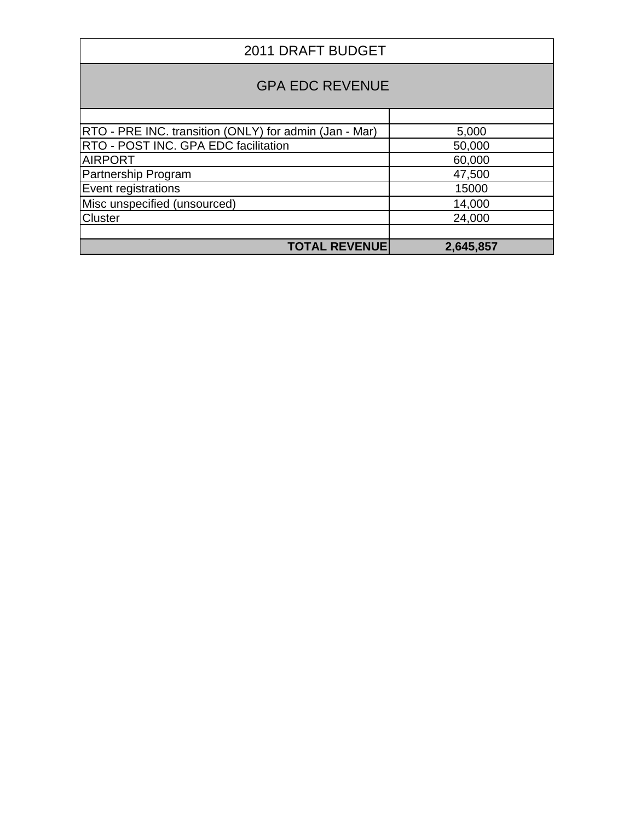| 2011 DRAFT BUDGET                                      |           |  |  |
|--------------------------------------------------------|-----------|--|--|
| <b>GPA EDC REVENUE</b>                                 |           |  |  |
|                                                        |           |  |  |
| RTO - PRE INC. transition (ONLY) for admin (Jan - Mar) | 5,000     |  |  |
| <b>RTO - POST INC. GPA EDC facilitation</b>            | 50,000    |  |  |
| <b>AIRPORT</b>                                         | 60,000    |  |  |
| Partnership Program                                    | 47,500    |  |  |
| Event registrations                                    | 15000     |  |  |
| Misc unspecified (unsourced)                           | 14,000    |  |  |
| Cluster                                                | 24,000    |  |  |
| <b>TOTAL REVENUE</b>                                   | 2,645,857 |  |  |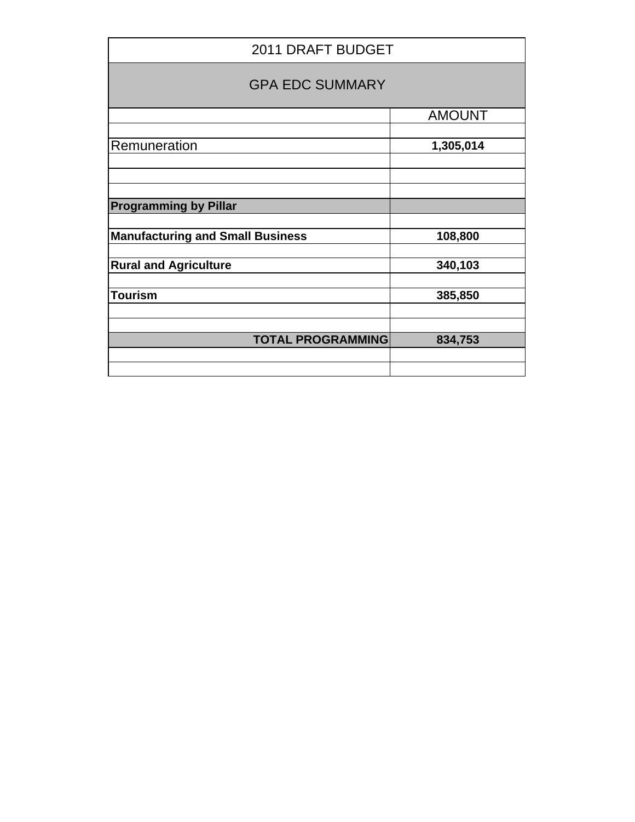| 2011 DRAFT BUDGET                       |               |  |
|-----------------------------------------|---------------|--|
| <b>GPA EDC SUMMARY</b>                  |               |  |
|                                         | <b>AMOUNT</b> |  |
| Remuneration                            | 1,305,014     |  |
|                                         |               |  |
| <b>Programming by Pillar</b>            |               |  |
| <b>Manufacturing and Small Business</b> | 108,800       |  |
| <b>Rural and Agriculture</b>            | 340,103       |  |
| <b>Tourism</b>                          | 385,850       |  |
|                                         |               |  |
| <b>TOTAL PROGRAMMING</b>                | 834,753       |  |
|                                         |               |  |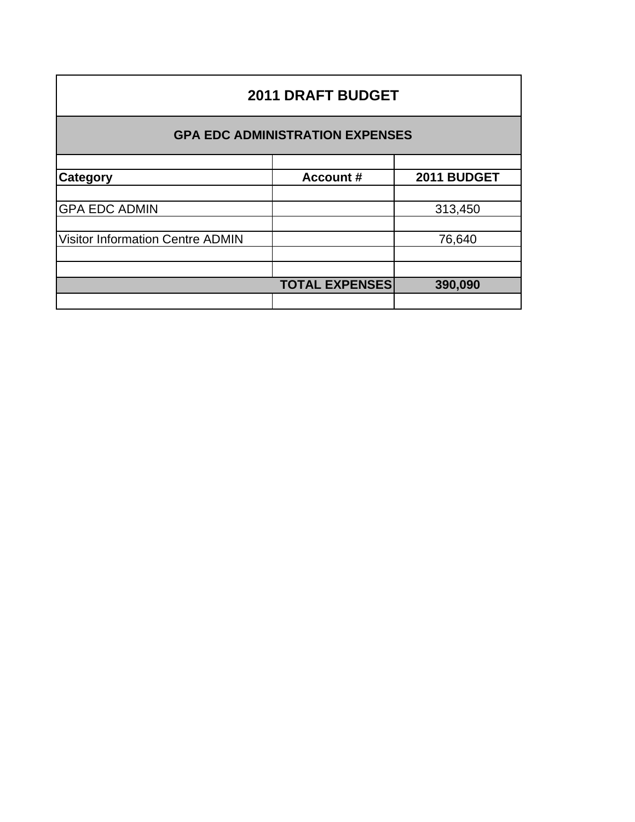| <b>2011 DRAFT BUDGET</b>                |                       |             |  |  |
|-----------------------------------------|-----------------------|-------------|--|--|
| <b>GPA EDC ADMINISTRATION EXPENSES</b>  |                       |             |  |  |
|                                         |                       |             |  |  |
| Category                                | <b>Account #</b>      | 2011 BUDGET |  |  |
|                                         |                       |             |  |  |
| <b>GPA EDC ADMIN</b>                    |                       | 313,450     |  |  |
|                                         |                       |             |  |  |
| <b>Visitor Information Centre ADMIN</b> |                       | 76,640      |  |  |
|                                         |                       |             |  |  |
|                                         |                       |             |  |  |
|                                         | <b>TOTAL EXPENSES</b> | 390,090     |  |  |
|                                         |                       |             |  |  |